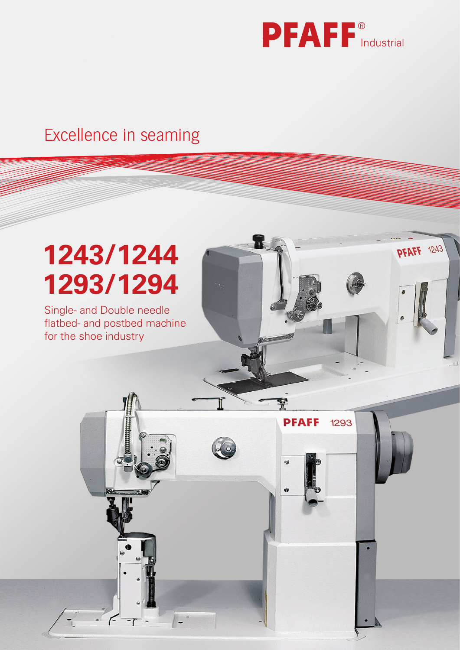

**PFAFF** 1243

H

**PFAFF** 

 $\ddot{\theta}$ 

 $\ddot{\mathbf{v}}$ 

1293

# Excellence in seaming Excellence in seaming Industrial Industrial Constantine Constantine Constantine Constantine Constantine Consta<br>Industrial Industrial Constantine Constantine Constantine Constantine Constantine Constantine Constantine Cons

# **1243/1244 1293/1294**

Single- and Double needle flatbed- and postbed machine for the shoe industry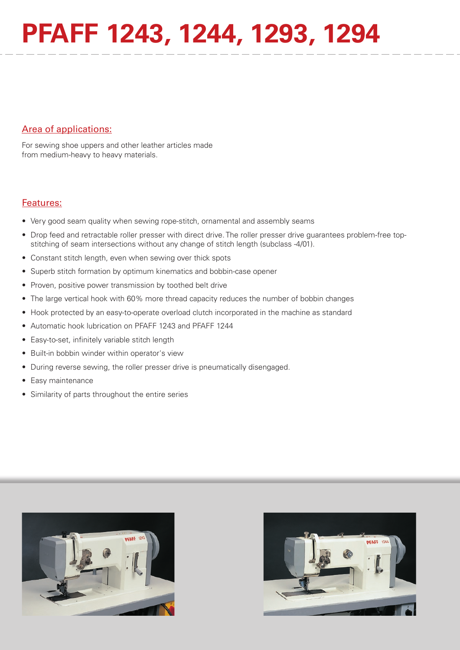# **PFAFF 1243, 1244, 1293, 1294**

## Area of applications:

For sewing shoe uppers and other leather articles made from medium-heavy to heavy materials.

### Features:

- Very good seam quality when sewing rope-stitch, ornamental and assembly seams
- Drop feed and retractable roller presser with direct drive. The roller presser drive guarantees problem-free topstitching of seam intersections without any change of stitch length (subclass -4/01).
- Constant stitch length, even when sewing over thick spots
- Superb stitch formation by optimum kinematics and bobbin-case opener
- Proven, positive power transmission by toothed belt drive
- The large vertical hook with 60% more thread capacity reduces the number of bobbin changes
- Hook protected by an easy-to-operate overload clutch incorporated in the machine as standard
- Automatic hook lubrication on PFAFF 1243 and PFAFF 1244
- Easy-to-set, infinitely variable stitch length
- Built-in bobbin winder within operator's view
- During reverse sewing, the roller presser drive is pneumatically disengaged.
- Easy maintenance
- Similarity of parts throughout the entire series



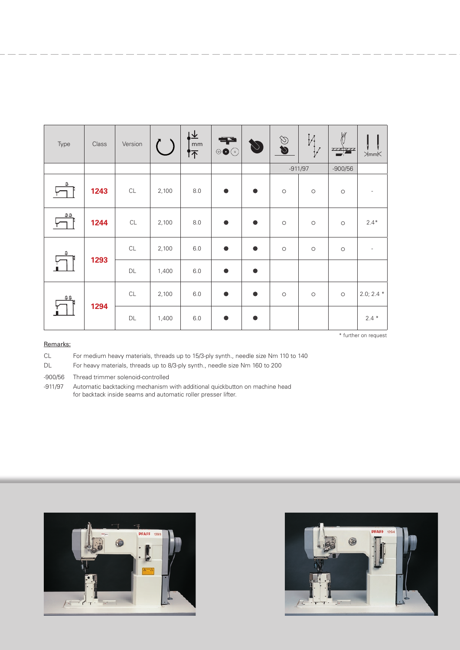| Type | Class | Version       |       | $\mathsf{mm}$<br>怀 | 千<br>$\circ\bullet\odot$ | $\bigcirc$ | O         | И<br>$\bigvee$      | $\frac{1}{2}$<br>7 <u>74</u> 777 | $\gtrsim_{\sf mmK}$      |
|------|-------|---------------|-------|--------------------|--------------------------|------------|-----------|---------------------|----------------------------------|--------------------------|
|      |       |               |       |                    |                          |            | $-911/97$ |                     | $-900/56$                        |                          |
| ŝ    | 1243  | $\mathsf{CL}$ | 2,100 | 8.0                | $\bullet$                | ●          | $\circ$   | $\circ$             | $\circ$                          |                          |
| 69   | 1244  | CL            | 2,100 | 8.0                | $\bullet$                | $\bullet$  | $\circ$   | $\circlearrowright$ | $\circ$                          | $2.4*$                   |
| ê.   | 1293  | CL            | 2,100 | 6.0                | $\bullet$                | $\bullet$  | $\circ$   | $\circ$             | $\circlearrowright$              | $\overline{\phantom{a}}$ |
|      |       | DL            | 1,400 | 6.0                | $\bullet$                | $\bullet$  |           |                     |                                  |                          |
| 88   | 1294  | CL            | 2,100 | $6.0\,$            | $\bullet$                | $\bullet$  | $\circ$   | $\circ$             | $\circ$                          | $2.0; 2.4*$              |
|      |       | $\mathsf{DL}$ | 1,400 | $6.0\,$            | $\bullet$                |            |           |                     |                                  | $2.4*$                   |

#### Remarks:

CL For medium heavy materials, threads up to 15/3-ply synth., needle size Nm 110 to 140

DL For heavy materials, threads up to 8/3-ply synth., needle size Nm 160 to 200

-900/56 Thread trimmer solenoid-controlled

-911/97 Automatic backtacking mechanism with additional quickbutton on machine head for backtack inside seams and automatic roller presser lifter.





\* further on request